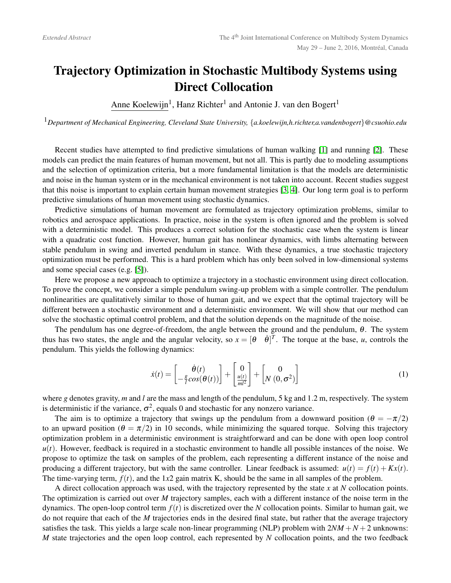## Trajectory Optimization in Stochastic Multibody Systems using Direct Collocation

Anne Koelewijn<sup>1</sup>, Hanz Richter<sup>1</sup> and Antonie J. van den Bogert<sup>1</sup>

<sup>1</sup>*Department of Mechanical Engineering, Cleveland State University,* {*a.koelewijn,h.richter,a.vandenbogert*}*@csuohio.edu*

Recent studies have attempted to find predictive simulations of human walking [\[1\]](#page-1-0) and running [\[2\]](#page-1-1). These models can predict the main features of human movement, but not all. This is partly due to modeling assumptions and the selection of optimization criteria, but a more fundamental limitation is that the models are deterministic and noise in the human system or in the mechanical environment is not taken into account. Recent studies suggest that this noise is important to explain certain human movement strategies [\[3,](#page-1-2) [4\]](#page-1-3). Our long term goal is to perform predictive simulations of human movement using stochastic dynamics.

Predictive simulations of human movement are formulated as trajectory optimization problems, similar to robotics and aerospace applications. In practice, noise in the system is often ignored and the problem is solved with a deterministic model. This produces a correct solution for the stochastic case when the system is linear with a quadratic cost function. However, human gait has nonlinear dynamics, with limbs alternating between stable pendulum in swing and inverted pendulum in stance. With these dynamics, a true stochastic trajectory optimization must be performed. This is a hard problem which has only been solved in low-dimensional systems and some special cases (e.g. [\[5\]](#page-1-4)).

Here we propose a new approach to optimize a trajectory in a stochastic environment using direct collocation. To prove the concept, we consider a simple pendulum swing-up problem with a simple controller. The pendulum nonlinearities are qualitatively similar to those of human gait, and we expect that the optimal trajectory will be different between a stochastic environment and a deterministic environment. We will show that our method can solve the stochastic optimal control problem, and that the solution depends on the magnitude of the noise.

The pendulum has one degree-of-freedom, the angle between the ground and the pendulum, θ. The system thus has two states, the angle and the angular velocity, so  $x = [\theta \quad \dot{\theta}]^T$ . The torque at the base, *u*, controls the pendulum. This yields the following dynamics:

<span id="page-0-0"></span>
$$
\dot{x}(t) = \begin{bmatrix} \dot{\theta}(t) \\ -\frac{g}{l}\cos(\theta(t)) \end{bmatrix} + \begin{bmatrix} 0 \\ \frac{u(t)}{ml^2} \end{bmatrix} + \begin{bmatrix} 0 \\ N(0, \sigma^2) \end{bmatrix}
$$
(1)

where g denotes gravity, *m* and *l* are the mass and length of the pendulum, 5 kg and 1.2 m, respectively. The system is deterministic if the variance,  $\sigma^2$ , equals 0 and stochastic for any nonzero variance.

The aim is to optimize a trajectory that swings up the pendulum from a downward position ( $\theta = -\pi/2$ ) to an upward position ( $\theta = \pi/2$ ) in 10 seconds, while minimizing the squared torque. Solving this trajectory optimization problem in a deterministic environment is straightforward and can be done with open loop control *u*(*t*). However, feedback is required in a stochastic environment to handle all possible instances of the noise. We propose to optimize the task on samples of the problem, each representing a different instance of the noise and producing a different trajectory, but with the same controller. Linear feedback is assumed:  $u(t) = f(t) + Kx(t)$ . The time-varying term,  $f(t)$ , and the 1*x*2 gain matrix K, should be the same in all samples of the problem.

A direct collocation approach was used, with the trajectory represented by the state *x* at *N* collocation points. The optimization is carried out over *M* trajectory samples, each with a different instance of the noise term in the dynamics. The open-loop control term  $f(t)$  is discretized over the *N* collocation points. Similar to human gait, we do not require that each of the *M* trajectories ends in the desired final state, but rather that the average trajectory satisfies the task. This yields a large scale non-linear programming (NLP) problem with  $2NM + N + 2$  unknowns: *M* state trajectories and the open loop control, each represented by *N* collocation points, and the two feedback